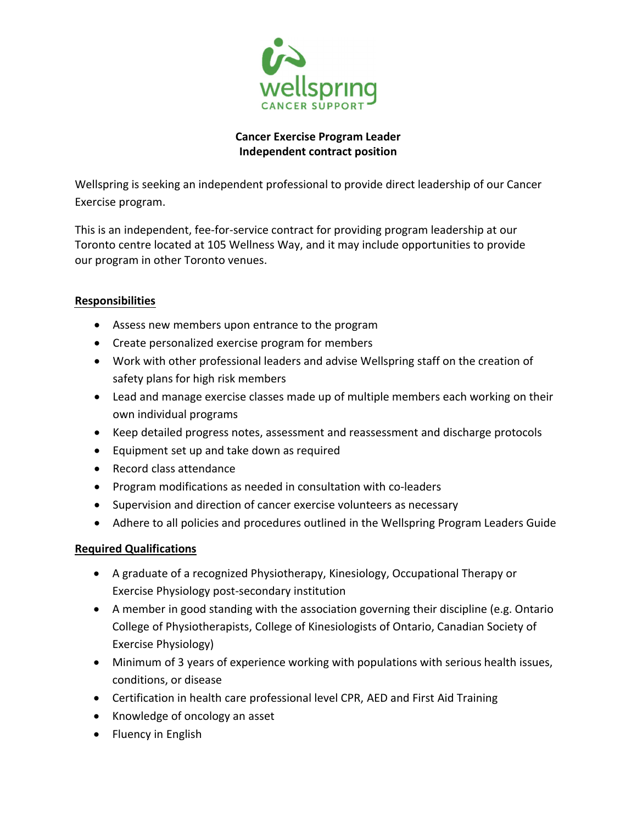

## Cancer Exercise Program Leader Independent contract position

Wellspring is seeking an independent professional to provide direct leadership of our Cancer Exercise program.

This is an independent, fee-for-service contract for providing program leadership at our Toronto centre located at 105 Wellness Way, and it may include opportunities to provide our program in other Toronto venues.

## Responsibilities

- Assess new members upon entrance to the program
- Create personalized exercise program for members
- Work with other professional leaders and advise Wellspring staff on the creation of safety plans for high risk members
- Lead and manage exercise classes made up of multiple members each working on their own individual programs
- Keep detailed progress notes, assessment and reassessment and discharge protocols
- Equipment set up and take down as required
- Record class attendance
- Program modifications as needed in consultation with co-leaders
- Supervision and direction of cancer exercise volunteers as necessary
- Adhere to all policies and procedures outlined in the Wellspring Program Leaders Guide

## Required Qualifications

- A graduate of a recognized Physiotherapy, Kinesiology, Occupational Therapy or Exercise Physiology post-secondary institution
- A member in good standing with the association governing their discipline (e.g. Ontario College of Physiotherapists, College of Kinesiologists of Ontario, Canadian Society of Exercise Physiology)
- Minimum of 3 years of experience working with populations with serious health issues, conditions, or disease
- Certification in health care professional level CPR, AED and First Aid Training
- Knowledge of oncology an asset
- Fluency in English